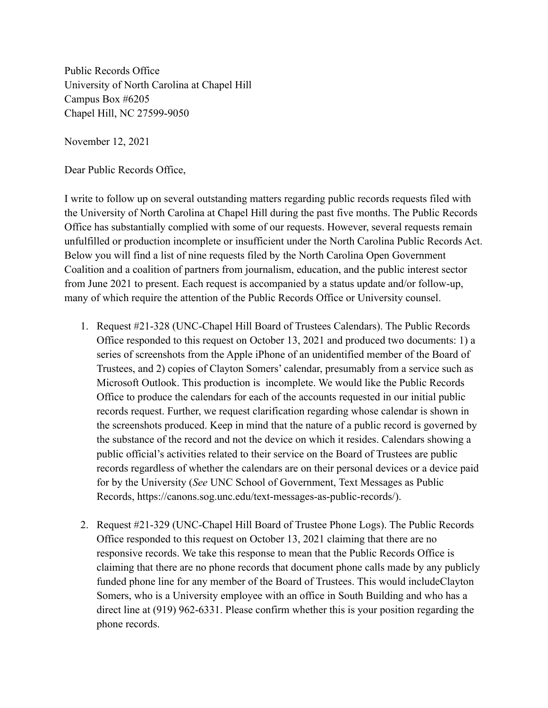Public Records Office University of North Carolina at Chapel Hill Campus Box #6205 Chapel Hill, NC 27599-9050

November 12, 2021

Dear Public Records Office,

I write to follow up on several outstanding matters regarding public records requests filed with the University of North Carolina at Chapel Hill during the past five months. The Public Records Office has substantially complied with some of our requests. However, several requests remain unfulfilled or production incomplete or insufficient under the North Carolina Public Records Act. Below you will find a list of nine requests filed by the North Carolina Open Government Coalition and a coalition of partners from journalism, education, and the public interest sector from June 2021 to present. Each request is accompanied by a status update and/or follow-up, many of which require the attention of the Public Records Office or University counsel.

- 1. Request #21-328 (UNC-Chapel Hill Board of Trustees Calendars). The Public Records Office responded to this request on October 13, 2021 and produced two documents: 1) a series of screenshots from the Apple iPhone of an unidentified member of the Board of Trustees, and 2) copies of Clayton Somers' calendar, presumably from a service such as Microsoft Outlook. This production is incomplete. We would like the Public Records Office to produce the calendars for each of the accounts requested in our initial public records request. Further, we request clarification regarding whose calendar is shown in the screenshots produced. Keep in mind that the nature of a public record is governed by the substance of the record and not the device on which it resides. Calendars showing a public official's activities related to their service on the Board of Trustees are public records regardless of whether the calendars are on their personal devices or a device paid for by the University (*See* UNC School of Government, Text Messages as Public Records, https://canons.sog.unc.edu/text-messages-as-public-records/).
- 2. Request #21-329 (UNC-Chapel Hill Board of Trustee Phone Logs). The Public Records Office responded to this request on October 13, 2021 claiming that there are no responsive records. We take this response to mean that the Public Records Office is claiming that there are no phone records that document phone calls made by any publicly funded phone line for any member of the Board of Trustees. This would includeClayton Somers, who is a University employee with an office in South Building and who has a direct line at (919) 962-6331. Please confirm whether this is your position regarding the phone records.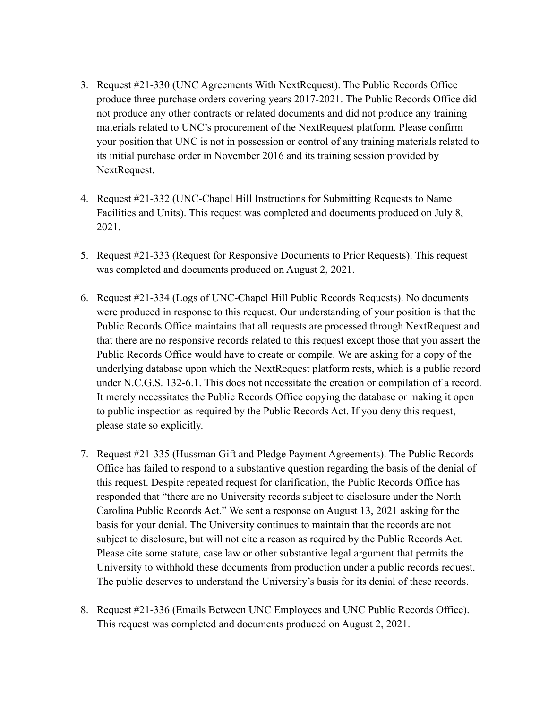- 3. Request #21-330 (UNC Agreements With NextRequest). The Public Records Office produce three purchase orders covering years 2017-2021. The Public Records Office did not produce any other contracts or related documents and did not produce any training materials related to UNC's procurement of the NextRequest platform. Please confirm your position that UNC is not in possession or control of any training materials related to its initial purchase order in November 2016 and its training session provided by NextRequest.
- 4. Request #21-332 (UNC-Chapel Hill Instructions for Submitting Requests to Name Facilities and Units). This request was completed and documents produced on July 8, 2021.
- 5. Request #21-333 (Request for Responsive Documents to Prior Requests). This request was completed and documents produced on August 2, 2021.
- 6. Request #21-334 (Logs of UNC-Chapel Hill Public Records Requests). No documents were produced in response to this request. Our understanding of your position is that the Public Records Office maintains that all requests are processed through NextRequest and that there are no responsive records related to this request except those that you assert the Public Records Office would have to create or compile. We are asking for a copy of the underlying database upon which the NextRequest platform rests, which is a public record under N.C.G.S. 132-6.1. This does not necessitate the creation or compilation of a record. It merely necessitates the Public Records Office copying the database or making it open to public inspection as required by the Public Records Act. If you deny this request, please state so explicitly.
- 7. Request #21-335 (Hussman Gift and Pledge Payment Agreements). The Public Records Office has failed to respond to a substantive question regarding the basis of the denial of this request. Despite repeated request for clarification, the Public Records Office has responded that "there are no University records subject to disclosure under the North Carolina Public Records Act." We sent a response on August 13, 2021 asking for the basis for your denial. The University continues to maintain that the records are not subject to disclosure, but will not cite a reason as required by the Public Records Act. Please cite some statute, case law or other substantive legal argument that permits the University to withhold these documents from production under a public records request. The public deserves to understand the University's basis for its denial of these records.
- 8. Request #21-336 (Emails Between UNC Employees and UNC Public Records Office). This request was completed and documents produced on August 2, 2021.